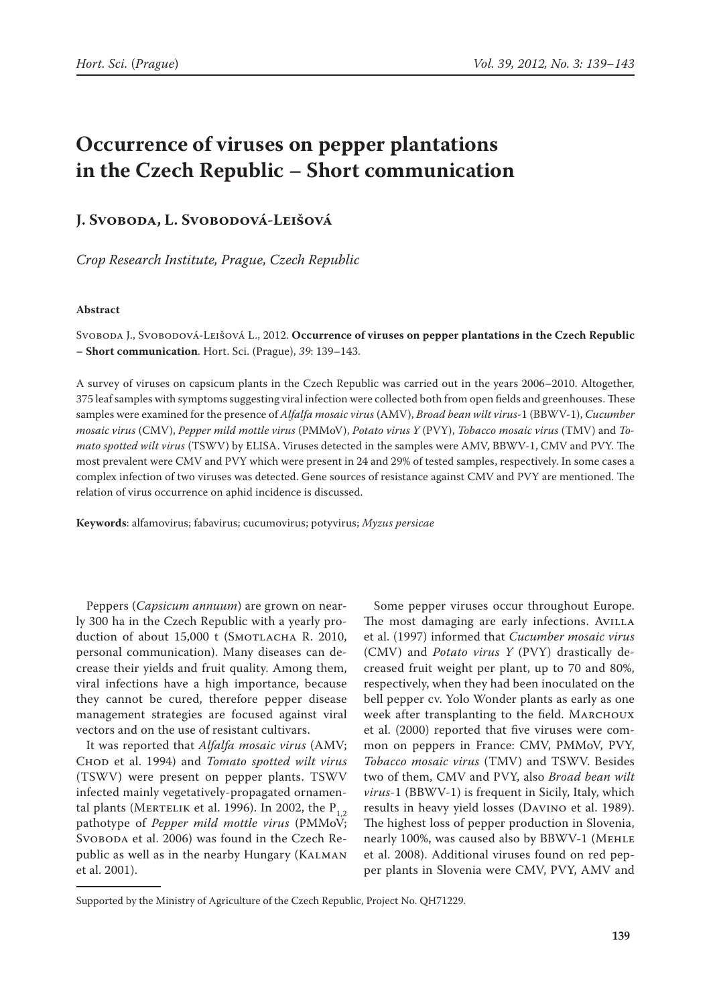# **Occurrence of viruses on pepper plantations in the Czech Republic – Short communication**

## **J. Svoboda, L. Svobodová-Leišová**

*Crop Research Institute, Prague, Czech Republic*

#### **Abstract**

Svoboda J., Svobodová-Leišová L., 2012. **Occurrence of viruses on pepper plantations in the Czech Republic – Short communication**. Hort. Sci. (Prague), *39*: 139–143.

A survey of viruses on capsicum plants in the Czech Republic was carried out in the years 2006–2010. Altogether, 375 leaf samples with symptoms suggesting viral infection were collected both from open fields and greenhouses. These samples were examined for the presence of *Alfalfa mosaic virus* (AMV), *Broad bean wilt virus-*1 (BBWV-1), *Cucumber mosaic virus* (CMV), *Pepper mild mottle virus* (PMMoV), *Potato virus Y* (PVY), *Tobacco mosaic virus* (TMV) and *Tomato spotted wilt virus* (TSWV) by ELISA. Viruses detected in the samples were AMV, BBWV-1, CMV and PVY. The most prevalent were CMV and PVY which were present in 24 and 29% of tested samples, respectively. In some cases a complex infection of two viruses was detected. Gene sources of resistance against CMV and PVY are mentioned. The relation of virus occurrence on aphid incidence is discussed.

**Keywords**: alfamovirus; fabavirus; cucumovirus; potyvirus; *Myzus persicae*

Peppers (*Capsicum annuum*) are grown on nearly 300 ha in the Czech Republic with a yearly production of about  $15,000$  t (SMOTLACHA R. 2010, personal communication). Many diseases can decrease their yields and fruit quality. Among them, viral infections have a high importance, because they cannot be cured, therefore pepper disease management strategies are focused against viral vectors and on the use of resistant cultivars.

It was reported that *Alfalfa mosaic virus* (AMV; Chod et al. 1994) and *Tomato spotted wilt virus* (TSWV) were present on pepper plants. TSWV infected mainly vegetatively-propagated ornamental plants (MERTELIK et al. 1996). In 2002, the  $P_{1,2}$ pathotype of *Pepper mild mottle virus* (PMMoV; SVOBODA et al. 2006) was found in the Czech Republic as well as in the nearby Hungary (Kalman et al. 2001).

Some pepper viruses occur throughout Europe. The most damaging are early infections. AVILLA et al. (1997) informed that *Cucumber mosaic virus* (CMV) and *Potato virus Y* (PVY) drastically decreased fruit weight per plant, up to 70 and 80%, respectively, when they had been inoculated on the bell pepper cv. Yolo Wonder plants as early as one week after transplanting to the field. MARCHOUX et al. (2000) reported that five viruses were common on peppers in France: CMV, PMMoV, PVY, *Tobacco mosaic virus* (TMV) and TSWV. Besides two of them, CMV and PVY, also *Broad bean wilt virus*-1 (BBWV-1) is frequent in Sicily, Italy, which results in heavy yield losses (Davino et al. 1989). The highest loss of pepper production in Slovenia, nearly 100%, was caused also by BBWV-1 (Mehle et al. 2008). Additional viruses found on red pepper plants in Slovenia were CMV, PVY, AMV and

Supported by the Ministry of Agriculture of the Czech Republic, Project No. QH71229.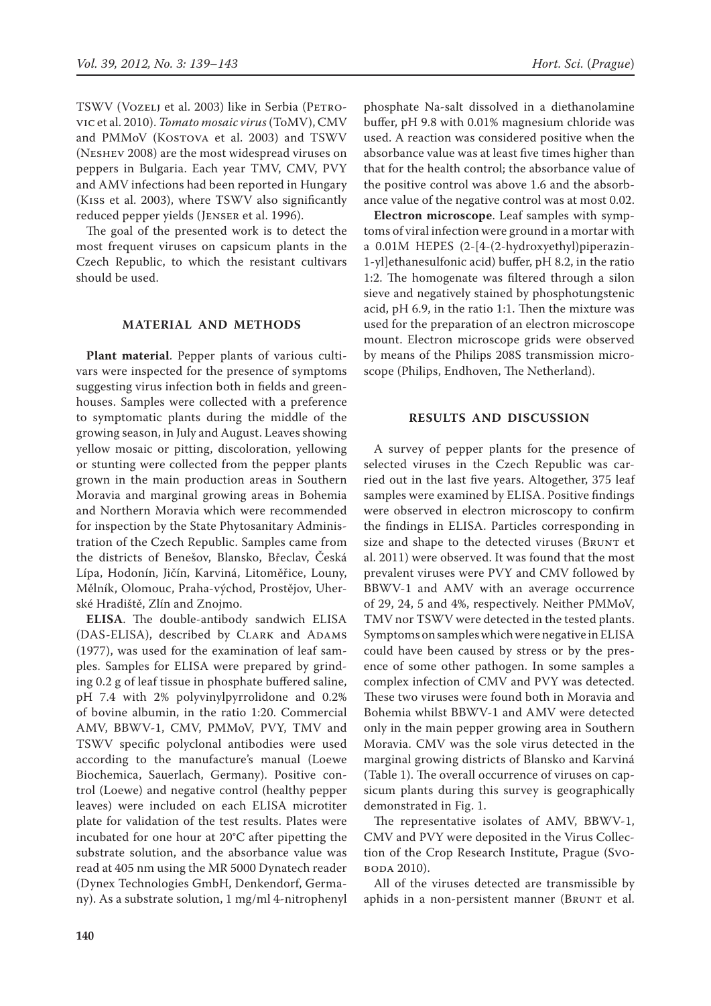TSWV (VOZELJ et al. 2003) like in Serbia (PETROvic et al. 2010). *Tomato mosaic virus* (ToMV), CMV and PMMoV (KOSTOVA et al. 2003) and TSWV (Neshev 2008) are the most widespread viruses on peppers in Bulgaria. Each year TMV, CMV, PVY and AMV infections had been reported in Hungary (Kiss et al. 2003), where TSWV also significantly reduced pepper yields (Jenser et al. 1996).

The goal of the presented work is to detect the most frequent viruses on capsicum plants in the Czech Republic, to which the resistant cultivars should be used.

### **MATERIAL AND METHODS**

**Plant material**. Pepper plants of various cultivars were inspected for the presence of symptoms suggesting virus infection both in fields and greenhouses. Samples were collected with a preference to symptomatic plants during the middle of the growing season, in July and August. Leaves showing yellow mosaic or pitting, discoloration, yellowing or stunting were collected from the pepper plants grown in the main production areas in Southern Moravia and marginal growing areas in Bohemia and Northern Moravia which were recommended for inspection by the State Phytosanitary Administration of the Czech Republic. Samples came from the districts of Benešov, Blansko, Břeclav, Česká Lípa, Hodonín, Jičín, Karviná, Litoměřice, Louny, Mělník, Olomouc, Praha-východ, Prostějov, Uherské Hradiště, Zlín and Znojmo.

**ELISA**. The double-antibody sandwich ELISA (DAS-ELISA), described by CLARK and ADAMS (1977), was used for the examination of leaf samples. Samples for ELISA were prepared by grinding 0.2 g of leaf tissue in phosphate buffered saline, pH 7.4 with 2% polyvinylpyrrolidone and 0.2% of bovine albumin, in the ratio 1:20. Commercial AMV, BBWV-1, CMV, PMMoV, PVY, TMV and TSWV specific polyclonal antibodies were used according to the manufacture's manual (Loewe Biochemica, Sauerlach, Germany). Positive control (Loewe) and negative control (healthy pepper leaves) were included on each ELISA microtiter plate for validation of the test results. Plates were incubated for one hour at 20°C after pipetting the substrate solution, and the absorbance value was read at 405 nm using the MR 5000 Dynatech reader (Dynex Technologies GmbH, Denkendorf, Germany). As a substrate solution, 1 mg/ml 4-nitrophenyl phosphate Na-salt dissolved in a diethanolamine buffer, pH 9.8 with 0.01% magnesium chloride was used. A reaction was considered positive when the absorbance value was at least five times higher than that for the health control; the absorbance value of the positive control was above 1.6 and the absorbance value of the negative control was at most 0.02.

**Electron microscope**. Leaf samples with symptoms of viral infection were ground in a mortar with a 0.01M HEPES (2-[4-(2-hydroxyethyl)piperazin-1-yl]ethanesulfonic acid) buffer, pH 8.2, in the ratio 1:2. The homogenate was filtered through a silon sieve and negatively stained by phosphotungstenic acid, pH 6.9, in the ratio 1:1. Then the mixture was used for the preparation of an electron microscope mount. Electron microscope grids were observed by means of the Philips 208S transmission microscope (Philips, Endhoven, The Netherland).

#### **RESULTS AND DISCUSSION**

A survey of pepper plants for the presence of selected viruses in the Czech Republic was carried out in the last five years. Altogether, 375 leaf samples were examined by ELISA. Positive findings were observed in electron microscopy to confirm the findings in ELISA. Particles corresponding in size and shape to the detected viruses (BRUNT et al. 2011) were observed. It was found that the most prevalent viruses were PVY and CMV followed by BBWV-1 and AMV with an average occurrence of 29, 24, 5 and 4%, respectively. Neither PMMoV, TMV nor TSWV were detected in the tested plants. Symptoms on samples which were negative in ELISA could have been caused by stress or by the presence of some other pathogen. In some samples a complex infection of CMV and PVY was detected. These two viruses were found both in Moravia and Bohemia whilst BBWV-1 and AMV were detected only in the main pepper growing area in Southern Moravia. CMV was the sole virus detected in the marginal growing districts of Blansko and Karviná (Table 1). The overall occurrence of viruses on capsicum plants during this survey is geographically demonstrated in Fig. 1.

The representative isolates of AMV, BBWV-1, CMV and PVY were deposited in the Virus Collection of the Crop Research Institute, Prague (Svoboda 2010).

All of the viruses detected are transmissible by aphids in a non-persistent manner (BRUNT et al.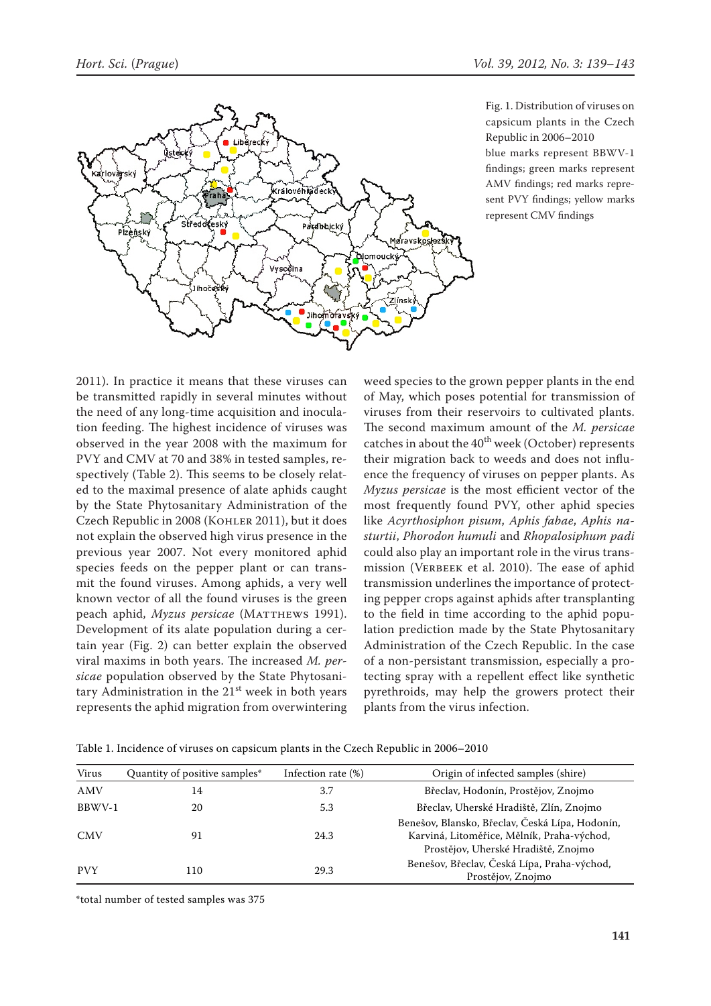

Fig. 1. Distribution of viruses on capsicum plants in the Czech Republic in 2006–2010 blue marks represent BBWV-1 findings; green marks represent AMV findings; red marks represent PVY findings; yellow marks represent CMV findings

2011). In practice it means that these viruses can be transmitted rapidly in several minutes without the need of any long-time acquisition and inoculation feeding. The highest incidence of viruses was observed in the year 2008 with the maximum for PVY and CMV at 70 and 38% in tested samples, respectively (Table 2). This seems to be closely related to the maximal presence of alate aphids caught by the State Phytosanitary Administration of the Czech Republic in 2008 (Kohler 2011), but it does not explain the observed high virus presence in the previous year 2007. Not every monitored aphid species feeds on the pepper plant or can transmit the found viruses. Among aphids, a very well known vector of all the found viruses is the green peach aphid, *Myzus persicae* (MATTHEWS 1991). Development of its alate population during a certain year (Fig. 2) can better explain the observed viral maxims in both years. The increased *M. persicae* population observed by the State Phytosanitary Administration in the  $21<sup>st</sup>$  week in both years represents the aphid migration from overwintering weed species to the grown pepper plants in the end of May, which poses potential for transmission of viruses from their reservoirs to cultivated plants. The second maximum amount of the *M. persicae* catches in about the  $40^{th}$  week (October) represents their migration back to weeds and does not influence the frequency of viruses on pepper plants. As *Myzus persicae* is the most efficient vector of the most frequently found PVY, other aphid species like *Acyrthosiphon pisum*, *Aphis fabae*, *Aphis nasturtii*, *Phorodon humuli* and *Rhopalosiphum padi* could also play an important role in the virus transmission (VERBEEK et al. 2010). The ease of aphid transmission underlines the importance of protecting pepper crops against aphids after transplanting to the field in time according to the aphid population prediction made by the State Phytosanitary Administration of the Czech Republic. In the case of a non-persistant transmission, especially a protecting spray with a repellent effect like synthetic pyrethroids, may help the growers protect their plants from the virus infection.

| Virus      | Quantity of positive samples* | Origin of infected samples (shire)<br>Infection rate (%) |                                                                                                                                      |  |
|------------|-------------------------------|----------------------------------------------------------|--------------------------------------------------------------------------------------------------------------------------------------|--|
| AMV        | 14                            | 3.7                                                      | Břeclav, Hodonín, Prostějov, Znojmo                                                                                                  |  |
| BBWV-1     | 20                            | 5.3                                                      | Břeclav, Uherské Hradiště, Zlín, Znojmo                                                                                              |  |
| <b>CMV</b> | 91                            | 24.3                                                     | Benešov, Blansko, Břeclav, Česká Lípa, Hodonín,<br>Karviná, Litoměřice, Mělník, Praha-východ,<br>Prostějov, Uherské Hradiště, Znojmo |  |
| <b>PVY</b> | 110                           | 29.3                                                     | Benešov, Břeclav, Česká Lípa, Praha-východ,<br>Prostějov, Znojmo                                                                     |  |
|            |                               |                                                          |                                                                                                                                      |  |

Table 1. Incidence of viruses on capsicum plants in the Czech Republic in 2006–2010

\*total number of tested samples was 375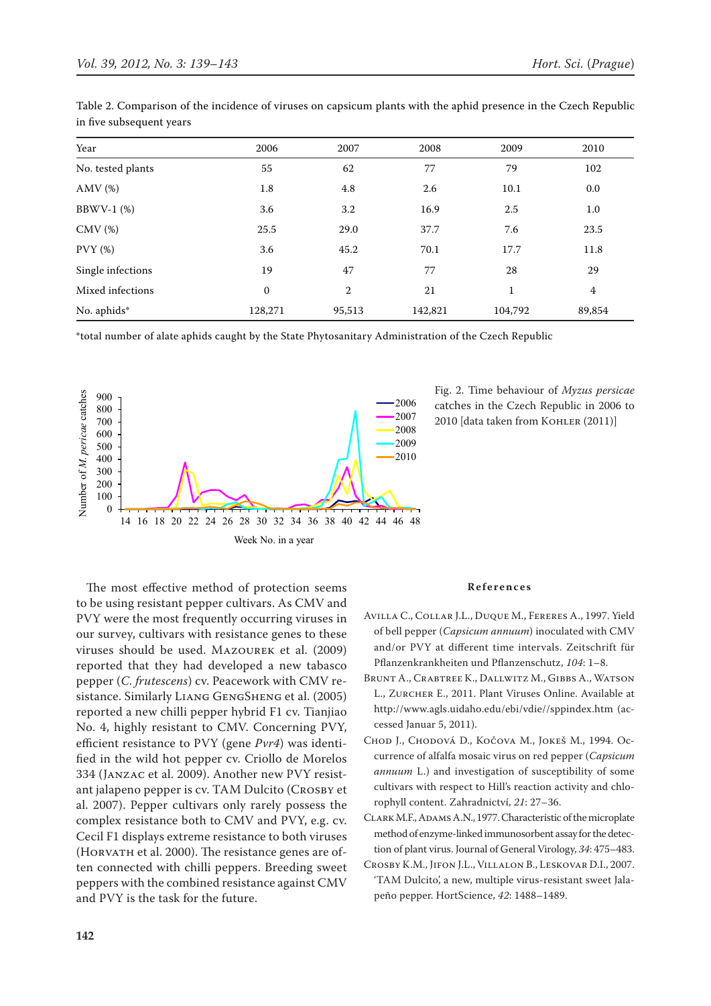| Year              | 2006         | 2007   | 2008    | 2009         | 2010    |
|-------------------|--------------|--------|---------|--------------|---------|
| No. tested plants | 55           | 62     | 77      | 79           | 102     |
| $AMV$ (%)         | 1.8          | 4.8    | 2.6     | 10.1         | 0.0     |
| $BBWV-1$ (%)      | 3.6          | 3.2    | 16.9    | 2.5          | $1.0\,$ |
| $CMV$ $%$         | 25.5         | 29.0   | 37.7    | 7.6          | 23.5    |
| PVT(%)            | 3.6          | 45.2   | 70.1    | 17.7         | 11.8    |
| Single infections | 19           | 47     | 77      | 28           | 29      |
| Mixed infections  | $\mathbf{0}$ | 2      | 21      | $\mathbf{1}$ | 4       |
| No. aphids*       | 128,271      | 95,513 | 142,821 | 104,792      | 89,854  |

Table 2. Comparison of the incidence of viruses on capsicum plants with the aphid presence in the Czech Republic in five subsequent years

\*total number of alate aphids caught by the State Phytosanitary Administration of the Czech Republic



Fig. 2. Time behaviour of *Myzus persicae* catches in the Czech Republic in 2006 to 2010 [data taken from KOHLER (2011)]

The most effective method of protection seems to be using resistant pepper cultivars. As CMV and PVY were the most frequently occurring viruses in our survey, cultivars with resistance genes to these viruses should be used. Mazourek et al. (2009) reported that they had developed a new tabasco pepper (*C. frutescens*) cv. Peacework with CMV resistance. Similarly Liang GengSheng et al. (2005) reported a new chilli pepper hybrid F1 cv. Tianjiao No. 4, highly resistant to CMV. Concerning PVY, efficient resistance to PVY (gene *Pvr4*) was identified in the wild hot pepper cv. Criollo de Morelos 334 (Janzac et al. 2009). Another new PVY resistant jalapeno pepper is cv. TAM Dulcito (Crosby et al. 2007). Pepper cultivars only rarely possess the complex resistance both to CMV and PVY, e.g. cv. Cecil F1 displays extreme resistance to both viruses (Horvath et al. 2000). The resistance genes are often connected with chilli peppers. Breeding sweet peppers with the combined resistance against CMV and PVY is the task for the future.

#### **References**

- Avilla C., Collar J.L., Duque M., Fereres A., 1997. Yield of bell pepper (*Capsicum annuum*) inoculated with CMV and/or PVY at different time intervals. Zeitschrift für Pflanzenkrankheiten und Pflanzenschutz, *104*: 1–8.
- Brunt A., Crabtree K., Dallwitz M., Gibbs A., Watson L., Zurcher E., 2011. Plant Viruses Online. Available at http://www.agls.uidaho.edu/ebi/vdie//sppindex.htm (accessed Januar 5, 2011).
- Chod J., Chodová D., Kočova M., Jokeš M., 1994. Occurrence of alfalfa mosaic virus on red pepper (*Capsicum annuum* L.) and investigation of susceptibility of some cultivars with respect to Hill's reaction activity and chlorophyll content. Zahradnictví, *21*: 27–36.
- CLARK M.F., ADAMS A.N., 1977. Characteristic of the microplate method of enzyme-linked immunosorbent assay for the detection of plant virus. Journal of General Virology, *34*: 475–483.
- Crosby K.M., Jifon J.L., Villalon B., Leskovar D.I., 2007. 'TAM Dulcito', a new, multiple virus-resistant sweet Jalapeño pepper. HortScience, *42*: 1488–1489.